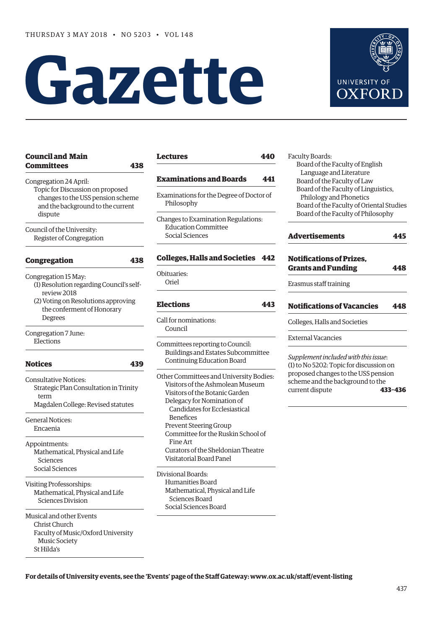# **Gazette**



| <b>Council and Main</b><br>Committees                                                                                                                                  | 438 |
|------------------------------------------------------------------------------------------------------------------------------------------------------------------------|-----|
| Congregation 24 April:<br>Topic for Discussion on proposed<br>changes to the USS pension scheme<br>and the background to the current<br>dispute                        |     |
| Council of the University:<br>Register of Congregation                                                                                                                 |     |
| Congregation                                                                                                                                                           | 438 |
| Congregation 15 May:<br>(1) Resolution regarding Council's self-<br>review 2018<br>(2) Voting on Resolutions approving<br>the conferment of Honorary<br><b>Degrees</b> |     |
| Congregation 7 June:<br>Elections                                                                                                                                      |     |
| <b>Notices</b>                                                                                                                                                         | 439 |
|                                                                                                                                                                        |     |
| Consultative Notices:<br>Strategic Plan Consultation in Trinity<br>term<br>Magdalen College: Revised statutes                                                          |     |
| General Notices:<br>Encaenia                                                                                                                                           |     |
| Appointments:<br>Mathematical, Physical and Life<br>Sciences<br>Social Sciences                                                                                        |     |
| Visiting Professorships:<br>Mathematical, Physical and Life<br>Sciences Division                                                                                       |     |

### **[Lectures](#page-3-0) 440**

### **[Examinations and Boards](#page-4-0) 441**

- Examinations for the Degree of Doctor of Philosophy
- Changes to Examination Regulations: Education Committee Social Sciences

### **[Colleges, Halls and Societies](#page-5-0) 442**

Obituaries: Oriel

### **[Elections](#page-6-0) 443**

- Call for nominations: Council
- Committees reporting to Council: Buildings and Estates Subcommittee Continuing Education Board

Other Committees and University Bodies: Visitors of the Ashmolean Museum Visitors of the Botanic Garden Delegacy for Nomination of Candidates for Ecclesiastical Benefices Prevent Steering Group Committee for the Ruskin School of Fine Art Curators of the Sheldonian Theatre Visitatorial Board Panel

Divisional Boards: Humanities Board Mathematical, Physical and Life Sciences Board Social Sciences Board

Faculty Boards: Board of the Faculty of English Language and Literature Board of the Faculty of Law Board of the Faculty of Linguistics, Philology and Phonetics Board of the Faculty of Oriental Studies Board of the Faculty of Philosophy

# **[Advertisements](#page-8-0) 445 [Notifications of Prizes,](#page-11-0)  Grants and Funding 448** Erasmus staff training **[Notifications of Vacancies 448](#page-11-0)**

Colleges, Halls and Societies

### External Vacancies

*Supplement included with this issue*: (1) to No 5202: Topic for discussion on proposed changes to the USS pension scheme and the background to the current dispute **433–436**

**For details of University events, see the 'Events' page of the Staff Gateway: [www.ox.ac.uk/staff/event-listing](http://www.ox.ac.uk/staff/event-listing)**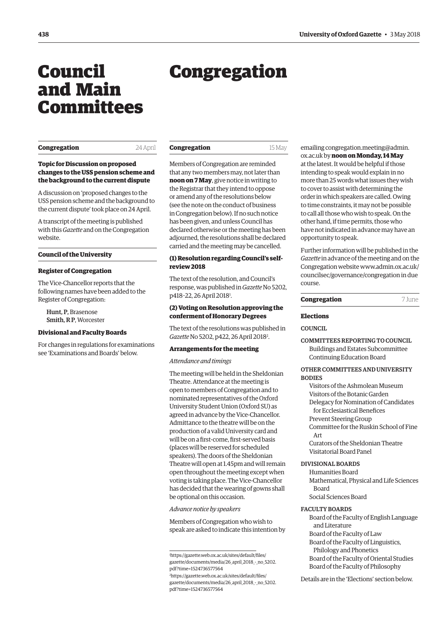# Council and Main Committees

# Congregation

### **Congregation** 24 April

### **Topic for Discussion on proposed changes to the USS pension scheme and the background to the current dispute**

A discussion on 'proposed changes to the USS pension scheme and the background to the current dispute' took place on 24 April.

A transcript of the meeting is published with this *Gazette* and on the Congregation website.

### **Council of the University**

### **Register of Congregation**

The Vice-Chancellor reports that the following names have been added to the Register of Congregation:

Hunt, P, Brasenose Smith, R P, Worcester

### **Divisional and Faculty Boards**

For changes in regulations for examinations see 'Examinations and Boards' below.

| Congregation | 15 May |
|--------------|--------|
|              |        |

Members of Congregation are reminded that any two members may, not later than **noon on 7 May**, give notice in writing to the Registrar that they intend to oppose or amend any of the resolutions below (see the note on the conduct of business in Congregation below). If no such notice has been given, and unless Council has declared otherwise or the meeting has been adjourned, the resolutions shall be declared carried and the meeting may be cancelled.

### **(1) Resolution regarding Council's selfreview 2018**

The text of the resolution, and Council's response, was published in *Gazette* No 5202, p418-22, 26 April 2018<sup>1</sup>.

### **(2) Voting on Resolution approving the conferment of Honorary Degrees**

The text of the resolutions was published in Gazette No 5202, p422, 26 April 2018<sup>2</sup>.

### **Arrangements for the meeting**

*Attendance and timings*

The meeting will be held in the Sheldonian Theatre. Attendance at the meeting is open to members of Congregation and to nominated representatives of the Oxford University Student Union (Oxford SU) as agreed in advance by the Vice-Chancellor. Admittance to the theatre will be on the production of a valid University card and will be on a first-come, first-served basis (places will be reserved for scheduled speakers). The doors of the Sheldonian Theatre will open at 1.45pm and will remain open throughout the meeting except when voting is taking place. The Vice-Chancellor has decided that the wearing of gowns shall be optional on this occasion.

*Advance notice by speakers*

Members of Congregation who wish to speak are asked to indicate this intention by emailing congregation.meeting@admin. ox.ac.uk by **noon on Monday, 14 May** at the latest. It would be helpful if those intending to speak would explain in no more than 25 words what issues they wish to cover to assist with determining the order in which speakers are called. Owing to time constraints, it may not be possible to call all those who wish to speak. On the other hand, if time permits, those who have not indicated in advance may have an opportunity to speak.

Further information will be published in the *Gazette* in advance of the meeting and on the [Congregation website www.admin.ox.ac.uk/](www.admin.ox.ac.uk/councilsec/governance/congregation) councilsec/governance/congregation in due course.

| Congregation | 7 June |
|--------------|--------|
|              |        |

### **Elections**

**COUNCIL** 

COMMITTEES REPORTING TO COUNCIL Buildings and Estates Subcommittee Continuing Education Board

### OTHER COMMITTEES AND UNIVERSITY **BODIES**

Visitors of the Ashmolean Museum Visitors of the Botanic Garden Delegacy for Nomination of Candidates for Ecclesiastical Benefices Prevent Steering Group Committee for the Ruskin School of Fine Art

Curators of the Sheldonian Theatre Visitatorial Board Panel

### DIVISIONAL BOARDS

Humanities Board Mathematical, Physical and Life Sciences Board Social Sciences Board

### FACULTY BOARDS

Board of the Faculty of English Language and Literature Board of the Faculty of Law Board of the Faculty of Linguistics, Philology and Phonetics Board of the Faculty of Oriental Studies Board of the Faculty of Philosophy

Details are in the 'Elections' section below.

<span id="page-1-0"></span>

<sup>1</sup> https://gazette.web.ox.ac.uk/sites/default/files/ gazette/documents/media/26 april 2018 - no 5202. pdf?time=1524736577564

<sup>2</sup> https://gazette.web.ox.ac.uk/sites/default/files/ [gazette/documents/media/26\\_april\\_2018\\_-\\_no\\_5202.](https://gazette.web.ox.ac.uk/sites/default/files/gazette/documents/media/26_april_2018_-_no_5202_redacted.pdf#page=6) pdf?time=1524736577564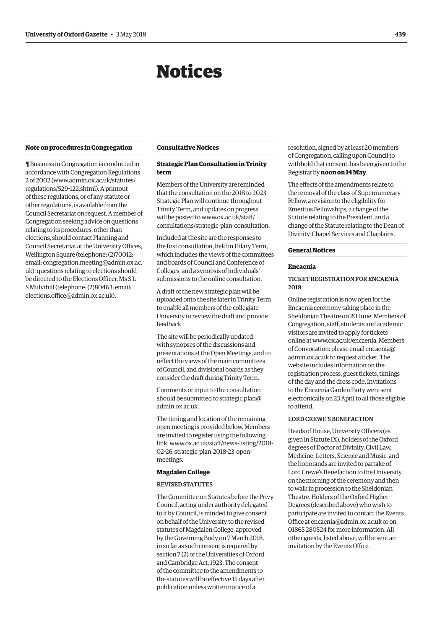# Notices

### <span id="page-2-0"></span>**Note on procedures in Congregation**

¶ Business in Congregation is conducted in accordance with Congregation Regulations 2 of 2002 [\(www.admin.ox.ac.uk/statutes/](http://www.admin.ox.ac.uk/statutes/regulations/529-122.shtml) [regulations/529-122.shtml\). A](http://www.admin.ox.ac.uk/statutes/regulations/529-122.shtml) printout of these regulations, or of any statute or other regulations, is available from the Council Secretariat on request. A member of Congregation seeking advice on questions relating to its procedures, other than elections, should contact Planning and Council Secretariat at the University Offices, Wellington Square (telephone: (2)70012; [email: congregation.meeting@admin.ox.ac.](mailto:congregation.meeting@admin.ox.ac.uk) uk); questions relating to elections should be directed to the Elections Officer, Ms S L S Mulvihill (telephone: (2)80463; email: [elections.office@admin.ox.ac.uk\).](mailto:elections.office@admin.ox.ac.uk)

### **Consultative Notices**

### **Strategic Plan Consultation in Trinity term**

Members of the University are reminded that the consultation on the 2018 to 2023 Strategic Plan will continue throughout Trinity Term, and updates on progress will be posted to www.ox.ac.uk/staff/ [consultations/strategic-plan-consultation.](www.ox.ac.uk/staff/consultations/strategic-plan-consultation)

Included at the site are the responses to the first consultation, held in Hilary Term, which includes the views of the committees and boards of Council and Conference of Colleges, and a synopsis of individuals' submissions to the online consultation.

A draft of the new strategic plan will be uploaded onto the site later in Trinity Term to enable all members of the collegiate University to review the draft and provide feedback.

The site will be periodically updated with synopses of the discussions and presentations at the Open Meetings, and to reflect the views of the main committees of Council, and divisional boards as they consider the draft during Trinity Term.

Comments or input to the consultation should be submitted to strategic.plan@ admin.ox.ac.uk.

The timing and location of the remaining open meeting is provided below. Members are invited to register using the following [link: www.ox.ac.uk/staff/news-listing/2018-](www.ox.ac.uk/staff/news-listing/2018-02-26-strategic-plan-2018-23-open-meetings) 02-26-strategic-plan-2018-23-openmeetings.

### **Magdalen College**

### REVISED STATUTES

The Committee on Statutes before the Privy Council, acting under authority delegated to it by Council, is minded to give consent on behalf of the University to the revised statutes of Magdalen College, approved by the Governing Body on 7 March 2018, in so far as such consent is required by section 7 (2) of the Universities of Oxford and Cambridge Act, 1923. The consent of the committee to the amendments to the statutes will be effective 15 days after publication unless written notice of a

resolution, signed by at least 20 members of Congregation, calling upon Council to withhold that consent, has been given to the Registrar by **noon on 14 May**.

The effects of the amendments relate to the removal of the class of Supernumerary Fellow, a revision to the eligibility for Emeritus Fellowships, a change of the Statute relating to the President, and a change of the Statute relating to the Dean of Divinity, Chapel Services and Chaplains.

### **General Notices**

### **Encaenia**

### TICKET REGISTRATION FOR ENCAENIA 2018

Online registration is now open for the Encaenia ceremony taking place in the Sheldonian Theatre on 20 June. Members of Congregation, staff, students and academic visitors are invited to apply for tickets online at [www.ox.ac.uk/encaenia. Me](http://www.ox.ac.uk/encaenia)mbers [of Convocation: please email encaenia@](mailto:encaenia@admin.ox.ac.uk) admin.ox.ac.uk to request a ticket. The website includes information on the registration process, guest tickets, timings of the day and the dress code. Invitations to the Encaenia Garden Party were sent electronically on 23 April to all those eligible to attend.

### LORD CREWE'S BENEFACTION

Heads of House, University Officers (as given in Statute IX), holders of the Oxford degrees of Doctor of Divinity, Civil Law, Medicine, Letters, Science and Music, and the honorands are invited to partake of Lord Crewe's Benefaction to the University on the morning of the ceremony and then to walk in procession to the Sheldonian Theatre. Holders of the Oxford Higher Degrees (described above) who wish to participate are invited to contact the Events Office at [encaenia@admin.ox.ac.uk or](mailto:encaenia@admin.ox.ac.uk) on 01865 280524 for more information. All other guests, listed above, will be sent an invitation by the Events Office.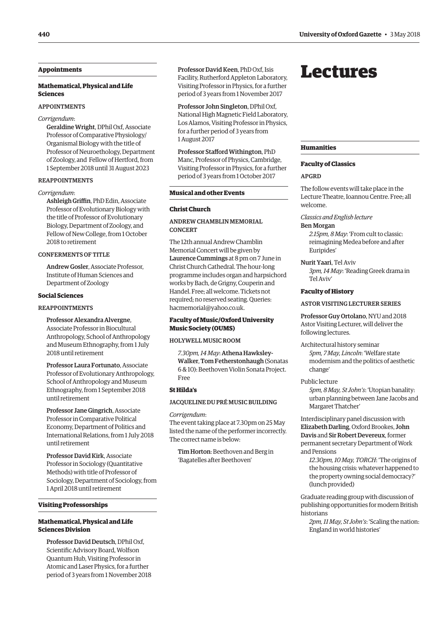### <span id="page-3-0"></span>**Appointments**

### **Mathematical, Physical and Life Sciences**

### APPOINTMENTS

*Corrigendum*:

Geraldine Wright, DPhil Oxf, Associate Professor of Comparative Physiology/ Organismal Biology with the title of Professor of Neuroethology, Department of Zoology, and Fellow of Hertford, from 1 September 2018 until 31 August 2023

### REAPPOINTMENTS

### *Corrigendum*:

Ashleigh Griffin, PhD Edin, Associate Professor of Evolutionary Biology with the title of Professor of Evolutionary Biology, Department of Zoology, and Fellow of New College, from 1 October 2018 to retirement

### CONFERMENTS OF TITLE

Andrew Gosler, Associate Professor, Institute of Human Sciences and Department of Zoology

### **Social Sciences**

### REAPPOINTMENTS

Professor Alexandra Alvergne, Associate Professor in Biocultural Anthropology, School of Anthropology and Museum Ethnography, from 1 July 2018 until retirement

Professor Laura Fortunato, Associate Professor of Evolutionary Anthropology, School of Anthropology and Museum Ethnography, from 1 September 2018 until retirement

Professor Jane Gingrich, Associate Professor in Comparative Political Economy, Department of Politics and International Relations, from 1 July 2018 until retirement

Professor David Kirk, Associate Professor in Sociology (Quantitative Methods) with title of Professor of Sociology, Department of Sociology, from 1 April 2018 until retirement

### **Visiting Professorships**

### **Mathematical, Physical and Life Sciences Division**

Professor David Deutsch, DPhil Oxf, Scientific Advisory Board, Wolfson Quantum Hub, Visiting Professor in Atomic and Laser Physics, for a further period of 3 years from 1 November 2018 Professor David Keen, PhD Oxf, Isis Facility, Rutherford Appleton Laboratory, Visiting Professor in Physics, for a further period of 3 years from 1 November 2017

Professor John Singleton, DPhil Oxf, National High Magnetic Field Laboratory, Los Alamos, Visiting Professor in Physics, for a further period of 3 years from 1 August 2017

Professor Stafford Withington, PhD Manc, Professor of Physics, Cambridge, Visiting Professor in Physics, for a further period of 3 years from 1 October 2017

### **Musical and other Events**

### **Christ Church**

ANDREW CHAMBLIN MEMORIAL **CONCERT** 

The 12th annual Andrew Chamblin Memorial Concert will be given by Laurence Cummings at 8 pm on 7 June in Christ Church Cathedral. The hour-long programme includes organ and harpsichord works by Bach, de Grigny, Couperin and Handel. Free; all welcome. Tickets not required; no reserved seating. Queries: [hacmemorial@yahoo.co.uk.](mailto:hacmemorial@yahoo.co.uk)

### **Faculty of Music/Oxford University Music Society (OUMS)**

### HOLYWELL MUSIC ROOM

*7.30pm, 14 May*: Athena Hawksley-Walker, Tom Fetherstonhaugh (Sonatas 6 & 10): Beethoven Violin Sonata Project. Free

### **St Hilda's**

### JACQUELINE DU PRÉ MUSIC BUILDING

*Corrigendum*: The event taking place at 7.30pm on 25 May listed the name of the performer incorrectly. The correct name is below:

Tim Horton: Beethoven and Berg in 'Bagatelles after Beethoven'

## Lectures

### **Humanities**

### **Faculty of Classics**

### APGRD

The follow events will take place in the Lecture Theatre, Ioannou Centre. Free; all welcome.

*Classics and English lecture* 

Ben Morgan

*2.15pm, 8 May*: 'From cult to classic: reimagining Medea before and after Euripides'

Nurit Yaari, Tel Aviv *3pm, 14 May*: 'Reading Greek drama in Tel Aviv'

### **Faculty of History**

### ASTOR VISITING LECTURER SERIES

Professor Guy Ortolano, NYU and 2018 Astor Visiting Lecturer, will deliver the following lectures.

Architectural history seminar *5pm, 7 May, Lincoln*: 'Welfare state modernism and the politics of aesthetic change'

### Public lecture

*5pm, 8 May, St John's*: 'Utopian banality: urban planning between Jane Jacobs and Margaret Thatcher'

Interdisciplinary panel discussion with Elizabeth Darling, Oxford Brookes, John Davis and Sir Robert Devereux, former permanent secretary Department of Work and Pensions

*12.30pm, 10 May, TORCH*: 'The origins of the housing crisis: whatever happened to the property owning social democracy?' (lunch provided)

Graduate reading group with discussion of publishing opportunities for modern British historians

*2pm, 11 May, St John's*: 'Scaling the nation: England in world histories'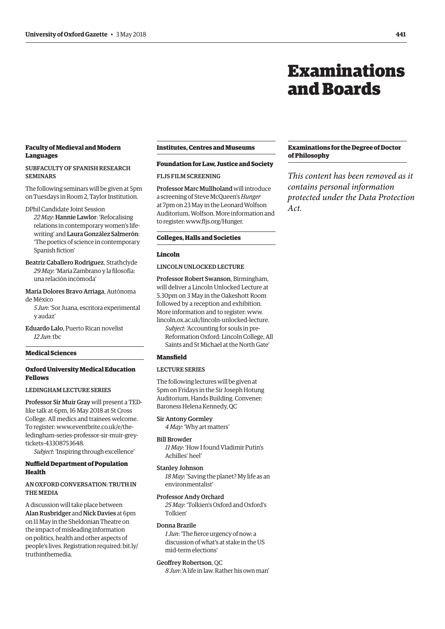# Examinations and Boards

### <span id="page-4-0"></span>**Faculty of Medieval and Modern Languages**

### SUBFACULTY OF SPANISH RESEARCH SEMINARS

The following seminars will be given at 5pm on Tuesdays in Room 2, Taylor Institution.

DPhil Candidate Joint Session

*22 May*: Hannie Lawlor: 'Refocalising relations in contemporary women's lifewriting' and Laura González Salmerón: 'The poetics of science in contemporary Spanish fiction'

Beatriz Caballero Rodríguez, Strathclyde *29 May*: 'María Zambrano y la filosofía: una relación incómoda'

### María Dolores Bravo Arriaga, Autónoma de México

*5 Jun*: 'Sor Juana, escritora experimental y audaz'

Eduardo Lalo, Puerto Rican novelist *12 Jun*: tbc

### **Medical Sciences**

### **Oxford University Medical Education Fellows**

### LEDINGHAM LECTURE SERIES

Professor Sir Muir Gray will present a TEDlike talk at 6pm, 16 May 2018 at St Cross College. All medics and trainees welcome. To register: www.eventbrite.co.uk/e/the[ledingham-series-professor-sir-muir-grey](www.eventbrite.co.uk/e/the-ledingham-series-professor-sir-muir-grey-tickets-43308753648)tickets-43308753648.

*Subject*: 'Inspiring through excellence'

### **Nuffield Department of Population Health**

### AN OXFORD CONVERSATION: TRUTH IN THE MEDIA

A discussion will take place between Alan Rusbridger and Nick Davies at 6pm on 11 May in the Sheldonian Theatre on the impact of misleading information on politics, health and other aspects of people's lives. Registration required: bit.ly/ truthinthemedia.

### **Institutes, Centres and Museums**

### **Foundation for Law, Justice and Society**

FLJS FILM SCREENING

Professor Marc Mullholand will introduce a screening of Steve McQueen's *Hunger* at 7pm on 23 May in the Leonard Wolfson Auditorium, Wolfson. More information and to register: [www.fljs.org/Hunger.](http://www.fljs.org/Hunger)

### **Colleges, Halls and Societies**

### **Lincoln**

### LINCOLN UNLOCKED LECTURE

Professor Robert Swanson, Birmingham, will deliver a Lincoln Unlocked Lecture at 5.30pm on 3 May in the Oakeshott Room followed by a reception and exhibition. More information and to register: [www.](http://www.lincoln.ox.ac.uk/lincoln-unlocked-lecture) [lincoln.ox.ac.uk/lincoln-unlocked-lecture.](http://www.lincoln.ox.ac.uk/lincoln-unlocked-lecture) 

*Subject*: 'Accounting for souls in pre-Reformation Oxford: Lincoln College, All Saints and St Michael at the North Gate'

### **Mansfield**

### LECTURE SERIES

The following lectures will be given at 5pm on Fridays in the Sir Joseph Hotung Auditorium, Hands Building. Convener: Baroness Helena Kennedy, QC

### Sir Antony Gormley

*4 May*: 'Why art matters'

### Bill Browder

*11 May*: 'How I found Vladimir Putin's Achilles' heel'

#### Stanley Johnson

*18 May*: 'Saving the planet? My life as an environmentalist'

### Professor Andy Orchard

*25 May*: 'Tolkien's Oxford and Oxford's Tolkien'

### Donna Brazile

*1 Jun*: 'The fierce urgency of now: a discussion of what's at stake in the US mid-term elections'

### Geoffrey Robertson, QC

*8 Jun*: 'A life in law. Rather his own man'

### **Examinations for the Degree of Doctor of Philosophy**

*This content has been removed as it contains personal information protected under the Data Protection Act.*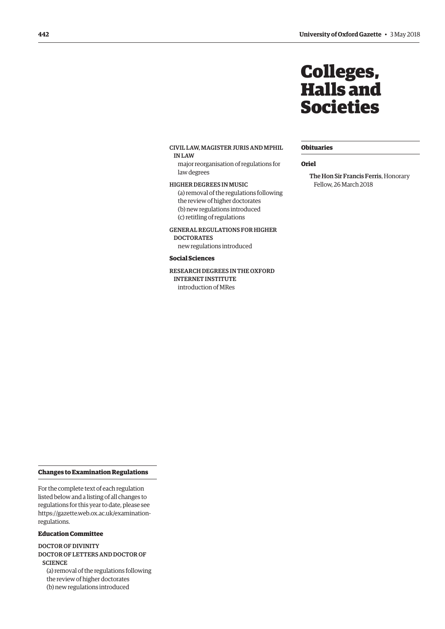# Colleges, Halls and Societies

### **Obituaries**

### **Oriel**

The Hon Sir Francis Ferris, Honorary Fellow, 26 March 2018

<span id="page-5-0"></span>CIVIL LAW, MAGISTER JURIS AND MPHIL IN LAW

major reorganisation of regulations for law degrees

HIGHER DEGREES IN MUSIC (a) removal of the regulations following the review of higher doctorates (b) new regulations introduced (c) retitling of regulations

GENERAL REGULATIONS FOR HIGHER

**DOCTORATES** new regulations introduced

### **Social Sciences**

RESEARCH DEGREES IN THE OXFORD INTERNET INSTITUTE introduction of MRes

### **Changes to Examination Regulations**

For the complete text of each regulation listed below and a listing of all changes to regulations for this year to date, please see [https://gazette.web.ox.ac.uk/examination](https://gazette.web.ox.ac.uk/examination-regulations)regulations.

### **Education Committee**

DOCTOR OF DIVINITY DOCTOR OF LETTERS AND DOCTOR OF **SCIENCE** (a) removal of the regulations following the review of higher doctorates (b) new regulations introduced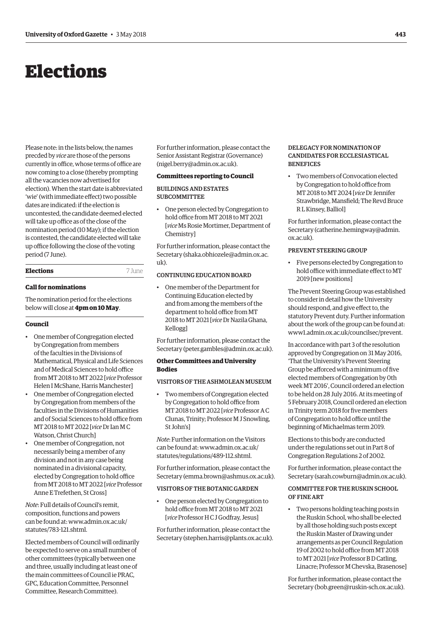# <span id="page-6-0"></span>Elections

Please note: in the lists below, the names precded by *vice* are those of the persons currently in office, whose terms of office are now coming to a close (thereby prompting all the vacancies now advertised for election). When the start date is abbreviated 'wie' (with immediate effect) two possible dates are indicated: if the election is uncontested, the candidate deemed elected will take up office as of the close of the nomination period (10 May); if the election is contested, the candidate elected will take up office following the close of the voting period (7 June).

### **Elections** 7 June

### **Call for nominations**

The nomination period for the elections below will close at **4pm on 10 May**.

### **Council**

- One member of Congregation elected by Congregation from members of the faculties in the Divisions of Mathematical, Physical and Life Sciences and of Medical Sciences to hold office from MT 2018 to MT 2022 [*vice* Professor Helen I McShane, Harris Manchester]
- One member of Congregation elected by Congregation from members of the faculties in the Divisions of Humanities and of Social Sciences to hold office from MT 2018 to MT 2022 [*vice* Dr Ian M C Watson, Christ Church]
- One member of Congregation, not necessarily being a member of any division and not in any case being nominated in a divisional capacity, elected by Congregation to hold office from MT 2018 to MT 2022 [*vice* Professor Anne E Trefethen, St Cross]

*Note*: Full details of Council's remit, composition, functions and powers [can be found at: www.admin.ox.ac.uk/](www.admin.ox.ac.uk/statutes/783-121.shtml) statutes/783-121 shtml

Elected members of Council will ordinarily be expected to serve on a small number of other committees (typically between one and three, usually including at least one of the main committees of Council ie PRAC, GPC, Education Committee, Personnel Committee, Research Committee).

For further information, please contact the Senior Assistant Registrar (Governance) [\(nigel.berry@admin.ox.ac.uk\).](mailto:nigel.berry@admin.ox.ac.uk)

### **Committees reporting to Council**

BUILDINGS AND ESTATES SUBCOMMITTEE

• One person elected by Congregation to hold office from MT 2018 to MT 2021 [*vice* Ms Rosie Mortimer, Department of Chemistry]

For further information, please contact the Secretary ([shaka.obhiozele@admin.ox.ac.](mailto:shaka.obhiozele@admin.ox.ac.uk)  $11k$ 

### CONTINUING EDUCATION BOARD

• One member of the Department for Continuing Education elected by and from among the members of the department to hold office from MT 2018 to MT 2021 [*vice* Dr Nazila Ghana, Kellogg]

For further information, please contact the Secretary ([peter.gambles@admin.ox.ac.uk\).](mailto:peter.gambles@admin.ox.ac.uk)

### **Other Committees and University Bodies**

### VISITORS OF THE ASHMOLEAN MUSEUM

• Two members of Congregation elected by Congregation to hold office from MT 2018 to MT 2022 [*vice* Professor A C Clunas, Trinity; Professor M J Snowling, St John's]

*Note*: Further information on the Visitors [can be found at: www.admin.ox.ac.uk/](www.admin.ox.ac.uk/statutes/regulations/489-112.shtml) statutes/regulations/489-112.shtml.

For further information, please contact the Secretary ([emma.brown@ashmus.ox.ac.uk\).](mailto:emma.brown@ashmus.ox.ac.uk)

### VISITORS OF THE BOTANIC GARDEN

• One person elected by Congregation to hold office from MT 2018 to MT 2021 [*vice* Professor H C J Godfray, Jesus]

For further information, please contact the Secretary ([stephen.harris@plants.ox.ac.uk\).](mailto:stephen.harris@plants.ox.ac.uk)

### DELEGACY FOR NOMINATION OF CANDIDATES FOR ECCLESIASTICAL **BENEFICES**

• Two members of Convocation elected by Congregation to hold office from MT 2018 to MT 2024 [*vice* Dr Jennifer Strawbridge, Mansfield; The Revd Bruce R L Kinsey, Balliol]

For further information, please contact the Secretary ([catherine.hemingway@admin.](mailto:catherine.hemingway@admin.ox.ac.uk) [ox.ac.uk\).](mailto:catherine.hemingway@admin.ox.ac.uk)

### PREVENT STEERING GROUP

• Five persons elected by Congregation to hold office with immediate effect to MT 2019 [new positions]

The Prevent Steering Group was established to consider in detail how the University should respond, and give effect to, the statutory Prevent duty. Further information about the work of the group can be found at: [www1.admin.ox.ac.uk/councilsec/prevent.](www1.admin.ox.ac.uk/councilsec/prevent) 

In accordance with part 3 of the resolution approved by Congregation on 31 May 2016, 'That the University's Prevent Steering Group be afforced with a minimum of five elected members of Congregation by 0th week MT 2016', Council ordered an election to be held on 28 July 2016. At its meeting of 5 February 2018, Council ordered an election in Trinity term 2018 for five members of Congregation to hold office until the beginning of Michaelmas term 2019.

Elections to this body are conducted under the regulations set out in Part 8 of Congregation Regulations 2 of 2002.

For further information, please contact the Secretary ([sarah.cowburn@admin.ox.ac.uk\).](mailto:sarah.cowburn@admin.ox.ac.uk)

### COMMITTEE FOR THE RUSKIN SCHOOL OF FINE ART

• Two persons holding teaching posts in the Ruskin School, who shall be elected by all those holding such posts except the Ruskin Master of Drawing under arrangements as per Council Regulation 19 of 2002 to hold office from MT 2018 to MT 2021 [*vice* Professor B D Catling, Linacre; Professor M Chevska, Brasenose]

For further information, please contact the Secretary ([bob.green@ruskin-sch.ox.ac.uk\).](mailto:bob.green@ruskin-sch.ox.ac.uk)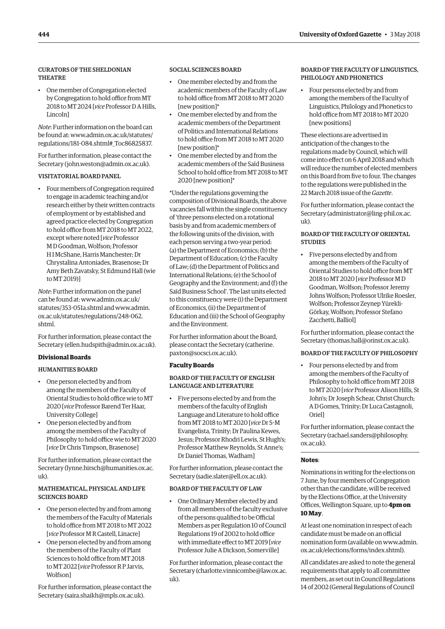### CURATORS OF THE SHELDONIAN **THEATRE**

• One member of Congregation elected by Congregation to hold office from MT 2018 to MT 2024 [*vice* Professor D A Hills, Lincoln]

*Note*: Further information on the board can [be found at: www.admin.ox.ac.uk/statutes/](www.admin.ox.ac.uk/statutes/regulations/181-084.shtml#_Toc86825837) regulations/181-084.shtml#\_Toc86825837.

For further information, please contact the Secretary ([john.weston@admin.ox.ac.uk\).](mailto:john.weston@admin.ox.ac.uk)

### VISITATORIAL BOARD PANEL

• Four members of Congregation required to engage in academic teaching and/or research either by their written contracts of employment or by established and agreed practice elected by Congregation to hold office from MT 2018 to MT 2022, except where noted [*vice* Professor M D Goodman, Wolfson; Professor H I McShane, Harris Manchester; Dr Chrystalina Antoniades, Brasenose; Dr Amy Beth Zavatsky, St Edmund Hall (wie to MT 2019)]

*Note*: Further information on the panel can be found [at: www.admin.ox.ac.uk/](www.admin.ox.ac.uk/statutes/353-051a.shtml) statutes/353-051a.shtml a[nd www.admin.](www.admin.ox.ac.uk/statutes/regulations/248-062.shtml) ox.ac.uk/statutes/regulations/248-062. shtml.

For further information, please contact the Secretary [\(ellen.hudspith@admin.ox.ac.uk\).](mailto:ellen.hudspith@admin.ox.ac.uk)

### **Divisional Boards**

### HUMANITIES BOARD

- One person elected by and from among the members of the Faculty of Oriental Studies to hold office wie to MT 2020 [*vice* Professor Barend Ter Haar, University College]
- One person elected by and from among the members of the Faculty of Philosophy to hold office wie to MT 2020 [*vice* Dr Chris Timpson, Brasenose]

For further information, please contact the Secretary [\(lynne.hirsch@humanities.ox.ac.](mailto:lynne.hirsch@humanities.ox.ac.uk)  $11\text{k}$ 

### MATHEMATICAL, PHYSICAL AND LIFE SCIENCES BOARD

- One person elected by and from among the members of the Faculty of Materials to hold office from MT 2018 to MT 2022 [*vice* Professor M R Castell, Linacre]
- One person elected by and from among the members of the Faculty of Plant Sciences to hold office from MT 2018 to MT 2022 [*vice* Professor R P Jarvis, Wolfson]

For further information, please contact the Secretary [\(saira.shaikh@mpls.ox.ac.uk\).](mailto:saira.shaikh@mpls.ox.ac.uk)

### SOCIAL SCIENCES BOARD

- One member elected by and from the academic members of the Faculty of Law to hold office from MT 2018 to MT 2020 [new position]\*
- One member elected by and from the academic members of the Department of Politics and International Relations to hold office from MT 2018 to MT 2020 [new position]\*
- One member elected by and from the academic members of the Saïd Business School to hold office from MT 2018 to MT 2020 [new position]\*

\*Under the regulations governing the composition of Divisional Boards, the above vacancies fall within the single constituency of 'three persons elected on a rotational basis by and from academic members of the following units of the division, with each person serving a two-year period: (a) the Department of Economics; (b) the Department of Education; (c) the Faculty of Law; (d) the Department of Politics and International Relations; (e) the School of Geography and the Environment; and (f) the Saïd Business School'. The last units elected to this constituency were (i) the Department of Economics, (ii) the Department of Education and (iii) the School of Geography and the Environment.

For further information about the Board, [please contact the Secretary \(catherine.](mailto:catherine.paxton@socsci.ox.ac.uk) paxton@socsci.ox.ac.uk).

### **Faculty Boards**

### BOARD OF THE FACULTY OF ENGLISH LANGUAGE AND LITERATURE

• Five persons elected by and from the members of the faculty of English Language and Literature to hold office from MT 2018 to MT 2020 [*vice* Dr S-M Evangelista, Trinity; Dr Paulina Kewes, Jesus; Professor Rhodri Lewis, St Hugh's; Professor Matthew Reynolds, St Anne's; Dr Daniel Thomas, Wadham]

For further information, please contact the Secretary ([sadie.slater@ell.ox.ac.uk\).](mailto:sadie.slater@ell.ox.ac.uk)

### BOARD OF THE FACULTY OF LAW

• One Ordinary Member elected by and from all members of the faculty exclusive of the persons qualified to be Official Members as per Regulation 10 of Council Regulations 19 of 2002 to hold office with immediate effect to MT 2019 [*vice* Professor Julie A Dickson, Somerville]

For further information, please contact the Secretary ([charlotte.vinnicombe@law.ox.ac.](mailto:charlotte.vinnicombe@law.ox.ac.uk)  $n(k)$ 

### BOARD OF THE FACULTY OF LINGUISTICS, PHILOLOGY AND PHONETICS

• Four persons elected by and from among the members of the Faculty of Linguistics, Philology and Phonetics to hold office from MT 2018 to MT 2020 [new positions]

These elections are advertised in anticipation of the changes to the regulations made by Council, which will come into effect on 6 April 2018 and which will reduce the number of elected members on this Board from five to four. The changes to the regulations were published in the 22 March 2018 issue of the *Gazette*.

For further information, please contact the Secretary ([administrator@ling-phil.ox.ac.](mailto:administrator@ling-phil.ox.ac.uk) [uk\).](mailto:administrator@ling-phil.ox.ac.uk) 

### BOARD OF THE FACULTY OF ORIENTAL **STUDIES**

• Five persons elected by and from among the members of the Faculty of Oriental Studies to hold office from MT 2018 to MT 2020 [*vice* Professor M D Goodman, Wolfson; Professor Jeremy Johns Wolfson; Professor Ulrike Roesler, Wolfson; Professor Zeynep Yürekli-Görkay, Wolfson; Professor Stefano Zacchetti, Balliol]

For further information, please contact the Secretary ([thomas.hall@orinst.ox.ac.uk\).](mailto:thomas.hall@orinst.ox.ac.uk)

### BOARD OF THE FACULTY OF PHILOSOPHY

• Four persons elected by and from among the members of the Faculty of Philosophy to hold office from MT 2018 to MT 2020 [*vice* Professor Alison Hills, St John's; Dr Joseph Schear, Christ Church; A D Gomes, Trinity; Dr Luca Castagnoli, Oriel]

For further information, please contact the Secretary ([rachael.sanders@philosophy.](mailto:rachael.sanders@philosophy.ox.ac.uk) [ox.ac.uk\).](mailto:rachael.sanders@philosophy.ox.ac.uk)

### **Notes**:

Nominations in writing for the elections on 7 June, by four members of Congregation other than the candidate, will be received by the Elections Office, at the University Offices, Wellington Square, up to **4pm on 10 May**.

At least one nomination in respect of each candidate must be made on an official [nomination form \(available on www.admin.](www.admin.ox.ac.uk/elections/forms/index.shtml) ox.ac.uk/elections/forms/index.shtml).

All candidates are asked to note the general requirements that apply to all committee members, as set out in Council Regulations 14 of 2002 (General Regulations of Council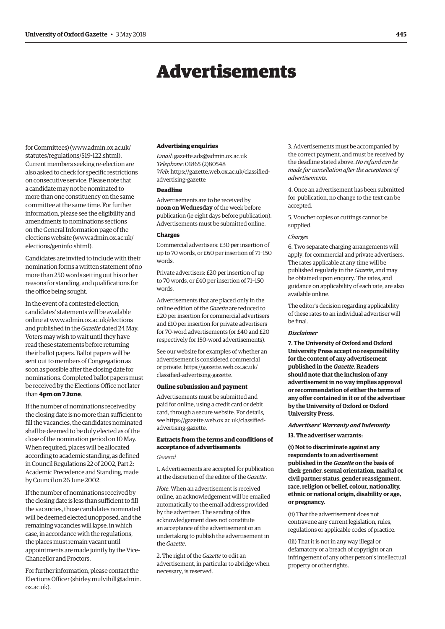# Advertisements

<span id="page-8-0"></span>for Committees) [\(www.admin.ox.ac.uk/](http://www.admin.ox.ac.uk/statutes/regulations/519-122.shtml) [statutes/regulations/519-122.shtml\).](http://www.admin.ox.ac.uk/statutes/regulations/519-122.shtml)  Current members seeking re-election are also asked to check for specific restrictions on consecutive service. Please note that a candidate may not be nominated to more than one constituency on the same committee at the same time. For further information, please see the eligibility and amendments to nominations sections on the General Information page of the elections website [\(www.admin.ox.ac.uk/](http://www.admin.ox.ac.uk/elections/geninfo.shtml) [elections/geninfo.shtml\).](http://www.admin.ox.ac.uk/elections/geninfo.shtml)

Candidates are invited to include with their nomination forms a written statement of no more than 250 words setting out his or her reasons for standing, and qualifications for the office being sought.

In the event of a contested election, candidates' statements will be available online at [www.admin.ox.ac.uk/elections](http://www.admin.ox.ac.uk/elections)  and published in the *Gazette* dated 24 May. Voters may wish to wait until they have read these statements before returning their ballot papers. Ballot papers will be sent out to members of Congregation as soon as possible after the closing date for nominations. Completed ballot papers must be received by the Elections Office not later than **4pm on 7 June**.

If the number of nominations received by the closing date is no more than sufficient to fill the vacancies, the candidates nominated shall be deemed to be duly elected as of the close of the nomination period on 10 May. When required, places will be allocated according to academic standing, as defined in Council Regulations 22 of 2002, Part 2: Academic Precedence and Standing, made by Council on 26 June 2002.

If the number of nominations received by the closing date is less than sufficient to fill the vacancies, those candidates nominated will be deemed elected unopposed, and the remaining vacancies will lapse, in which case, in accordance with the regulations, the places must remain vacant until appointments are made jointly by the Vice-Chancellor and Proctors.

For further information, please contact the Elections Officer [\(shirley.mulvihill@admin.](mailto:shirley.mulvihill@admin.ox.ac.uk) [ox.ac.uk\).](mailto:shirley.mulvihill@admin.ox.ac.uk)

### **Advertising enquiries**

*Email*: [gazette.ads@admin.ox.ac.uk](mailto:gazette.ads@admin.ox.ac.uk) *Telephone*: 01865 (2)80548 *Web*[: https://gazette.web.ox.ac.uk/classified](https://gazette.web.ox.ac.uk/classified-advertising)advertising-gazette

### **Deadline**

Advertisements are to be received by **noon on Wednesday** of the week before publication (ie eight days before publication). Advertisements must be submitted online.

### **Charges**

Commercial advertisers: £30 per insertion of up to 70 words, or £60 per insertion of 71–150 words.

Private advertisers: £20 per insertion of up to 70 words, or £40 per insertion of 71–150 words.

Advertisements that are placed only in the online edition of the *Gazette* are reduced to £20 per insertion for commercial advertisers and £10 per insertion for private advertisers for 70-word advertisements (or £40 and £20 respectively for 150-word advertisements).

See our website for examples of whether an advertisement is considered commercial [or private: https://gazette.web.ox.ac.uk/](https://gazette.web.ox.ac.uk/classified-advertising) classified-advertising-gazette.

### **Online submission and payment**

Advertisements must be submitted and paid for online, using a credit card or debit card, through a secure website. For details, [see https://gazette.web.ox.ac.uk/classified](https://gazette.web.ox.ac.uk/classified-advertising)advertising-gazette.

### **Extracts from the terms and conditions of acceptance of advertisements**

### *General*

1. Advertisements are accepted for publication at the discretion of the editor of the *Gazette*.

*Note*. When an advertisement is received online, an acknowledgement will be emailed automatically to the email address provided by the advertiser. The sending of this acknowledgement does not constitute an acceptance of the advertisement or an undertaking to publish the advertisement in the *Gazette*.

2. The right of the *Gazette* to edit an advertisement, in particular to abridge when necessary, is reserved.

3. Advertisements must be accompanied by the correct payment, and must be received by the deadline stated above. *No refund can be made for cancellation after the acceptance of advertisements*.

4. Once an advertisement has been submitted for publication, no change to the text can be accepted.

5. Voucher copies or cuttings cannot be supplied.

### *Charges*

6. Two separate charging arrangements will apply, for commercial and private advertisers. The rates applicable at any time will be published regularly in the *Gazette*, and may be obtained upon enquiry. The rates, and guidance on applicability of each rate, are also available online.

The editor's decision regarding applicability of these rates to an individual advertiser will be final.

### *Disclaimer*

**7. The University of Oxford and Oxford University Press accept no responsibility for the content of any advertisement published in the** *Gazette***. Readers should note that the inclusion of any advertisement in no way implies approval or recommendation of either the terms of any offer contained in it or of the advertiser by the University of Oxford or Oxford University Press.**

### *Advertisers' Warranty and Indemnity*

**13. The advertiser warrants:**

**(i) Not to discriminate against any respondents to an advertisement published in the** *Gazette* **on the basis of their gender, sexual orientation, marital or civil partner status, gender reassignment, race, religion or belief, colour, nationality, ethnic or national origin, disability or age, or pregnancy.**

(ii) That the advertisement does not contravene any current legislation, rules, regulations or applicable codes of practice.

(iii) That it is not in any way illegal or defamatory or a breach of copyright or an infringement of any other person's intellectual property or other rights.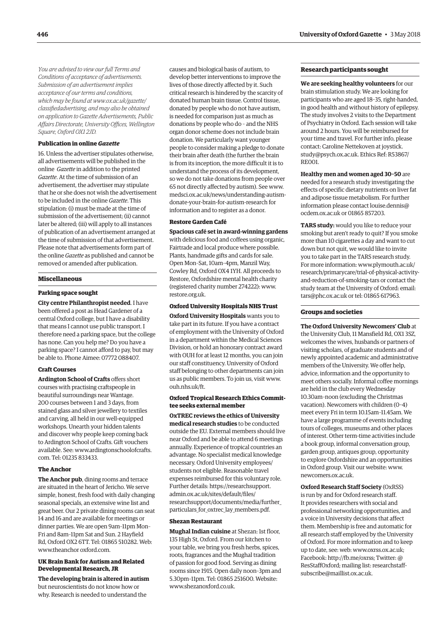*You are advised to view our full Terms and Conditions of acceptance of advertisements. Submission of an advertisement implies acceptance of our terms and conditions, which may be found at www.ox.ac.uk/gazette/ [classifiedadvertising, and may also be obtained](www.ox.ac.uk/gazette/classifiedadvertising)  on application to Gazette Advertisements, Public Affairs Directorate, University Offices, Wellington Square, Oxford OX1 2JD.*

### **Publication in online** *Gazette*

16. Unless the advertiser stipulates otherwise, all advertisements will be published in the online *Gazette* in addition to the printed *Gazette*. At the time of submission of an advertisement, the advertiser may stipulate that he or she does not wish the advertisement to be included in the online *Gazette*. This stipulation: (i) must be made at the time of submission of the advertisement; (ii) cannot later be altered; (iii) will apply to all instances of publication of an advertisement arranged at the time of submission of that advertisement. Please note that advertisements form part of the online *Gazette* as published and cannot be removed or amended after publication.

### **Miscellaneous**

### **Parking space sought**

**City centre Philanthropist needed**. I have been offered a post as Head Gardener of a central Oxford college, but I have a disability that means I cannot use public transport. I therefore need a parking space, but the college has none. Can you help me? Do you have a parking space? I cannot afford to pay, but may be able to. Phone Aimee: 07772 088407.

### **Craft Courses**

**Ardington School of Crafts** offers short courses with practising craftspeople in beautiful surroundings near Wantage. 200 courses between 1 and 3 days, from stained glass and silver jewellery to textiles and carving, all held in our well-equipped workshops. Unearth your hidden talents and discover why people keep coming back to Ardington School of Crafts. Gift vouchers [available. See: www.ardingtonschoolofcrafts.](www.ardingtonschoolofcrafts.com) com. Tel: 01235 833433.

### **The Anchor**

**The Anchor pub**, dining rooms and terrace are situated in the heart of Jericho. We serve simple, honest, fresh food with daily changing seasonal specials, an extensive wine list and great beer. Our 2 private dining rooms can seat 14 and 16 and are available for meetings or dinner parties. We are open 9am–11pm Mon– Fri and 8am–11pm Sat and Sun. 2 Hayfield Rd, Oxford OX2 6TT. Tel: 01865 510282. Web: [www.theanchor ox](http://www.theanchor)ford.com.

### **UK Brain Bank for Autism and Related Developmental Research, JR**

**The developing brain is altered in autism** but neuroscientists do not know how or why. Research is needed to understand the

causes and biological basis of autism, to develop better interventions to improve the lives of those directly affected by it. Such critical research is hindered by the scarcity of donated human brain tissue. Control tissue, donated by people who do not have autism, is needed for comparison just as much as donations by people who do – and the NHS organ donor scheme does not include brain donation. We particularly want younger people to consider making a pledge to donate their brain after death (the further the brain is from its inception, the more difficult it is to understand the process of its development, so we do not take donations from people over 65 not directly affected by autism). See www. [medsci.ox.ac.uk/news/understanding-autism](www.medsci.ox.ac.uk/news/understanding-autism-donate-your-brain-for-autism-research)donate-your-brain-for-autism-research for information and to register as a donor.

### **Restore Garden Café**

**Spacious café set in award-winning gardens** with delicious food and coffees using organic, Fairtrade and local produce where possible. Plants, handmade gifts and cards for sale. Open Mon–Sat, 10am–4pm, Manzil Way, Cowley Rd, Oxford OX4 1YH. All proceeds to Restore, Oxfordshire mental health charity (registered charity number 274222): [www.](http://www.restore.org.uk) [restore.org.uk.](http://www.restore.org.uk)

### **Oxford University Hospitals NHS Trust**

**Oxford University Hospitals** wants you to take part in its future. If you have a contract of employment with the University of Oxford in a department within the Medical Sciences Division, or hold an honorary contract award with OUH for at least 12 months, you can join our staff constituency. University of Oxford staff belonging to other departments can join us as public members. To join us, visit [www.](http://www.ouh.nhs.uk/ft) [ouh.nhs.uk/ft.](http://www.ouh.nhs.uk/ft)

### **Oxford Tropical Research Ethics Committee seeks external member**

**OxTREC reviews the ethics of University medical research studies** to be conducted outside the EU. External members should live near Oxford and be able to attend 6 meetings annually. Experience of tropical countries an advantage. No specialist medical knowledge necessary. Oxford University employees/ students not eligible. Reasonable travel expenses reimbursed for this voluntary role. Further details: https://researchsupport. admin.ox.ac.uk/sites/default/files/ [researchsupport/documents/media/further\\_](https://researchsupport.admin.ox.ac.uk/sites/default/files/researchsupport/documents/media/further_particulars_for_oxtrec_lay_members.pdf) particulars\_for\_oxtrec\_lay\_members.pdf.

### **Shezan Restaurant**

**Mughal Indian cuisine** at Shezan: 1st floor, 135 High St, Oxford. From our kitchen to your table, we bring you fresh herbs, spices, roots, fragrances and the Mughal tradition of passion for good food. Serving as dining rooms since 1915. Open daily noon–3pm and 5.30pm–11pm. Tel: 01865 251600. Website: [www.shezanoxford.co.uk.](http://www.shezanoxford.co.uk)

### **Research participants sought**

**We are seeking healthy volunteers** for our brain stimulation study. We are looking for participants who are aged 18–35, right-handed, in good health and without history of epilepsy. The study involves 2 visits to the Department of Psychiatry in Oxford. Each session will take around 2 hours. You will be reimbursed for your time and travel. For further info, please contact: Caroline Nettekoven at joystick. [study@psych.ox.ac.uk. Ethics Ref: R53867/](mailto:joystick.study@psych.ox.ac.uk) RE001.

**Healthy men and women aged 30–50** are needed for a research study investigating the effects of specific dietary nutrients on liver fat and adipose tissue metabolism. For further [information please contact louise.dennis@](mailto:louise.dennis@ocdem.ox.ac.uk) ocdem.ox.ac.uk or 01865 857203.

**TARS study:** would you like to reduce your smoking but aren't ready to quit? If you smoke more than 10 cigarettes a day and want to cut down but not quit, we would like to invite you to take part in the TARS research study. For more information: www.plymouth.ac.uk/ [research/primarycare/trial-of-physical-activity](www.plymouth.ac.uk/research/primarycare/trial-of-physical-activity-and-reduction-of-smoking-tars)and-reduction-of-smoking-tars or contact the study team at the University of Oxford: email: [tars@phc.ox.ac.uk or](mailto:tars@phc.ox.ac.uk) tel: 01865 617963.

### **Groups and societies**

**The Oxford University Newcomers' Club** at the University Club, 11 Mansfield Rd, OX1 3SZ, welcomes the wives, husbands or partners of visiting scholars, of graduate students and of newly appointed academic and administrative members of the University. We offer help, advice, information and the opportunity to meet others socially. Informal coffee mornings are held in the club every Wednesday 10.30am–noon (excluding the Christmas vacation). Newcomers with children (0–4) meet every Fri in term 10.15am–11.45am. We have a large programme of events including tours of colleges, museums and other places of interest. Other term-time activities include a book group, informal conversation group, garden group, antiques group, opportunity to explore Oxfordshire and an opportunities in Oxford group. Visit our website: [www.](http://www.newcomers.ox.ac.uk) [newcomers.ox.ac.uk.](http://www.newcomers.ox.ac.uk) 

**Oxford Research Staff Society** (OxRSS) is run by and for Oxford research staff. It provides researchers with social and professional networking opportunities, and a voice in University decisions that affect them. Membership is free and automatic for all research staff employed by the University of Oxford. For more information and to keep up to date, see: web: [www.oxrss.ox.ac.uk;](http://www.oxrss.ox.ac.uk)  Facebook: [http://fb.me/oxrss; Tw](http://fb.me/oxrss)itter: @ [ResStaffOxford; mailing list: researchstaff](mailto:researchstaff-subscribe@maillist.ox.ac.uk)subscribe@maillist.ox.ac.uk.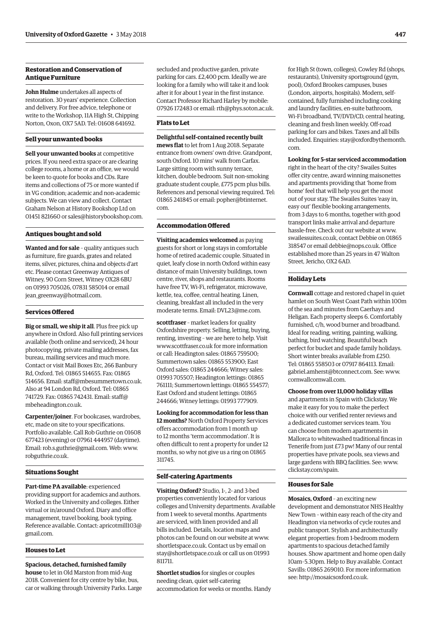### **Restoration and Conservation of Antique Furniture**

**John Hulme** undertakes all aspects of restoration. 30 years' experience. Collection and delivery. For free advice, telephone or write to the Workshop, 11A High St, Chipping Norton, Oxon, OX7 5AD. Tel: 01608 641692.

### **Sell your unwanted books**

**Sell your unwanted books** at competitive prices. If you need extra space or are clearing college rooms, a home or an office, we would be keen to quote for books and CDs. Rare items and collections of 75 or more wanted if in VG condition; academic and non-academic subjects. We can view and collect. Contact Graham Nelson at History Bookshop Ltd on 01451 821660 or [sales@historybookshop.com.](mailto:sales@historybookshop.com)

### **Antiques bought and sold**

**Wanted and for sale** – quality antiques such as furniture, fire guards, grates and related items, silver, pictures, china and objects d'art etc. Please contact Greenway Antiques of Witney, 90 Corn Street, Witney OX28 6BU on 01993 705026, 07831 585014 or email [jean\\_greenway@hotmail.com.](mailto:jean_greenway@hotmail.com)

### **Services Offered**

**Big or small, we ship it all**. Plus free pick up anywhere in Oxford. Also full printing services available (both online and serviced), 24 hour photocopying, private mailing addresses, fax bureau, mailing services and much more. Contact or visit Mail Boxes Etc, 266 Banbury Rd, Oxford. Tel: 01865 514655. Fax: 01865 514656. Email: [staff@mbesummertown.co.uk.](mailto:staff@mbesummertown.co.uk)  Also at 94 London Rd, Oxford. Tel: 01865 [741729. Fax: 01865 742431. Email: staff@](mailto:staff@mbeheadington.co.uk) mbeheadington.co.uk.

**Carpenter/joiner**. For bookcases, wardrobes, etc, made on site to your specifications. Portfolio available. Call Rob Guthrie on 01608 677423 (evening) or 07961 444957 (daytime). Email: [rob.s.guthrie@gmail.com. W](mailto:rob.s.guthrie@gmail.com)eb: [www.](http://www.robguthrie.co.uk) [robguthrie.co.uk.](http://www.robguthrie.co.uk)

### **Situations Sought**

**Part-time PA available**: experienced providing support for academics and authors. Worked in the University and colleges. Either virtual or in/around Oxford. Diary and office management, travel booking, book typing. [Reference available. Contact: apricotmill103@](mailto:apricotmill103@gmail.com) gmail.com.

### **Houses to Let**

**Spacious, detached, furnished family house** to let in Old Marston from mid-Aug 2018. Convenient for city centre by bike, bus, car or walking through University Parks. Large secluded and productive garden, private parking for cars. £2,400 pcm. Ideally we are looking for a family who will take it and look after it for about 1 year in the first instance. Contact Professor Richard Harley by mobile: 07926 172483 or email: [rth@phys.soton.ac.uk.](mailto:rth@phys.soton.ac.uk)

### **Flats to Let**

**Delightful self-contained recently built mews flat** to let from 1 Aug 2018. Separate entrance from owners' own drive. Grandpont, south Oxford. 10 mins' walk from Carfax. Large sitting room with sunny terrace, kitchen, double bedroom. Suit non-smoking graduate student couple, £775 pcm plus bills. References and personal viewing required. Tel: [01865 241845 or email: popher@btinternet.](mailto:popher@btinternet.com) com.

### **Accommodation Offered**

**Visiting academics welcomed** as paying guests for short or long stays in comfortable home of retired academic couple. Situated in quiet, leafy close in north Oxford within easy distance of main University buildings, town centre, river, shops and restaurants. Rooms have free TV, Wi-Fi, refrigerator, microwave, kettle, tea, coffee, central heating. Linen, cleaning, breakfast all included in the very moderate terms. Email: [DVL23@me.com.](mailto:DVL23@me.com)

**scottfraser** – market leaders for quality Oxfordshire property. Selling, letting, buying, renting, investing – we are here to help. Visit [www.scottfraser.co.uk fo](http://www.scottfraser.co.uk)r more information or call: Headington sales: 01865 759500; Summertown sales: 01865 553900; East Oxford sales: 01865 244666; Witney sales: 01993 705507; Headington lettings: 01865 761111; Summertown lettings: 01865 554577; East Oxford and student lettings: 01865 244666; Witney lettings: 01993 777909.

**Looking for accommodation for less than 12 months?** North Oxford Property Services offers accommodation from 1 month up to 12 months 'term accommodation'. It is often difficult to rent a property for under 12 months, so why not give us a ring on 01865 311745.

### **Self-catering Apartments**

**Visiting Oxford?** Studio, 1-, 2- and 3-bed properties conveniently located for various colleges and University departments. Available from 1 week to several months. Apartments are serviced, with linen provided and all bills included. Details, location maps and photos can be found on our website at [www.](http://www.shortletspace.co.uk) [shortletspace.co.uk. Co](http://www.shortletspace.co.uk)ntact us by email on [stay@shortletspace.co.uk or](mailto:stay@shortletspace.co.uk) call us on 01993 811711.

**Shortlet studios** for singles or couples needing clean, quiet self-catering accommodation for weeks or months. Handy for High St (town, colleges), Cowley Rd (shops, restaurants), University sportsground (gym, pool), Oxford Brookes campuses, buses (London, airports, hospitals). Modern, selfcontained, fully furnished including cooking and laundry facilities, en-suite bathroom, Wi-Fi broadband, TV/DVD/CD, central heating, cleaning and fresh linen weekly. Off-road parking for cars and bikes. Taxes and all bills [included. Enquiries: stay@oxfordbythemonth.](mailto:stay@oxfordbythemonth.com) com.

**Looking for 5-star serviced accommodation**

right in the heart of the city? Swailes Suites offer city centre, award winning maisonettes and apartments providing that 'home from home' feel that will help you get the most out of your stay. The Swailes Suites 'easy in, easy out' flexible booking arrangements, from 3 days to 6 months, together with good transport links make arrival and departure hassle-free. Check out our website at [www.](http://www.swailessuites.co.uk) [swailessuites.co.uk, co](http://www.swailessuites.co.uk)ntact Debbie on 01865 318547 or email [debbie@nops.co.uk. Of](mailto:debbie@nops.co.uk)fice established more than 25 years in 47 Walton Street, Jericho, OX2 6AD.

### **Holiday Lets**

**Cornwall** cottage and restored chapel in quiet hamlet on South West Coast Path within 100m of the sea and minutes from Caerhays and Heligan. Each property sleeps 6. Comfortably furnished, c/h, wood burner and broadband. Ideal for reading, writing, painting, walking, bathing, bird watching. Beautiful beach perfect for bucket and spade family holidays. Short winter breaks available from £250. Tel: 01865 558503 or 07917 864113. Email: [gabriel.amherst@btconnect.com. Se](mailto:gabriel.amherst@btconnect.com)e: [www.](http://www.cornwallcornwall.com) [cornwallcornwall.com.](http://www.cornwallcornwall.com)

**Choose from over 11,000 holiday villas** and apartments in Spain with Clickstay. We make it easy for you to make the perfect choice with our verified renter reviews and a dedicated customer services team. You can choose from modern apartments in Mallorca to whitewashed traditional fincas in Tenerife from just £73 pw! Many of our rental properties have private pools, sea views and large gardens with BBQ facilities. See: [www.](http://www.clickstay.com/spain) [clickstay.com/spain.](http://www.clickstay.com/spain)

### **Houses for Sale**

**Mosaics, Oxford** – an exciting new development and demonstrator NHS Healthy New Town – within easy reach of the city and Headington via networks of cycle routes and public transport. Stylish and architecturally elegant properties: from 1-bedroom modern apartments to spacious detached family houses. Show apartment and home open daily 10am–5.30pm. Help to Buy available. Contact Savills: 01865 269010. For more information see: [http://mosaicsoxford.co.uk.](http://mosaicsoxford.co.uk)